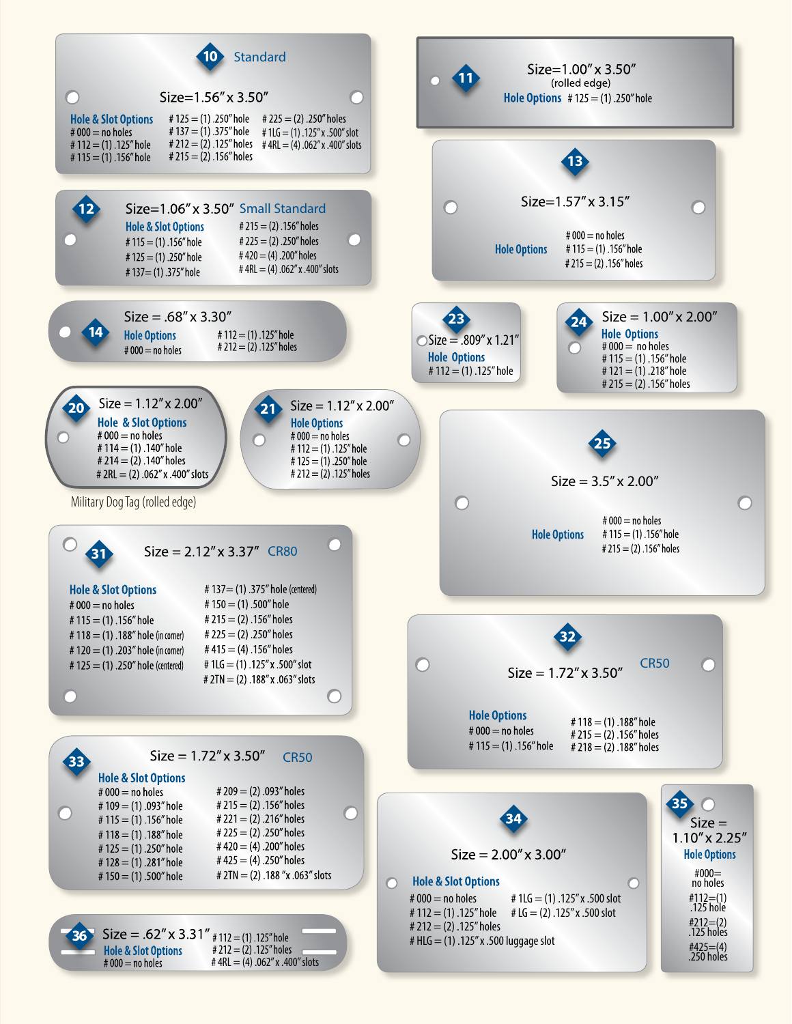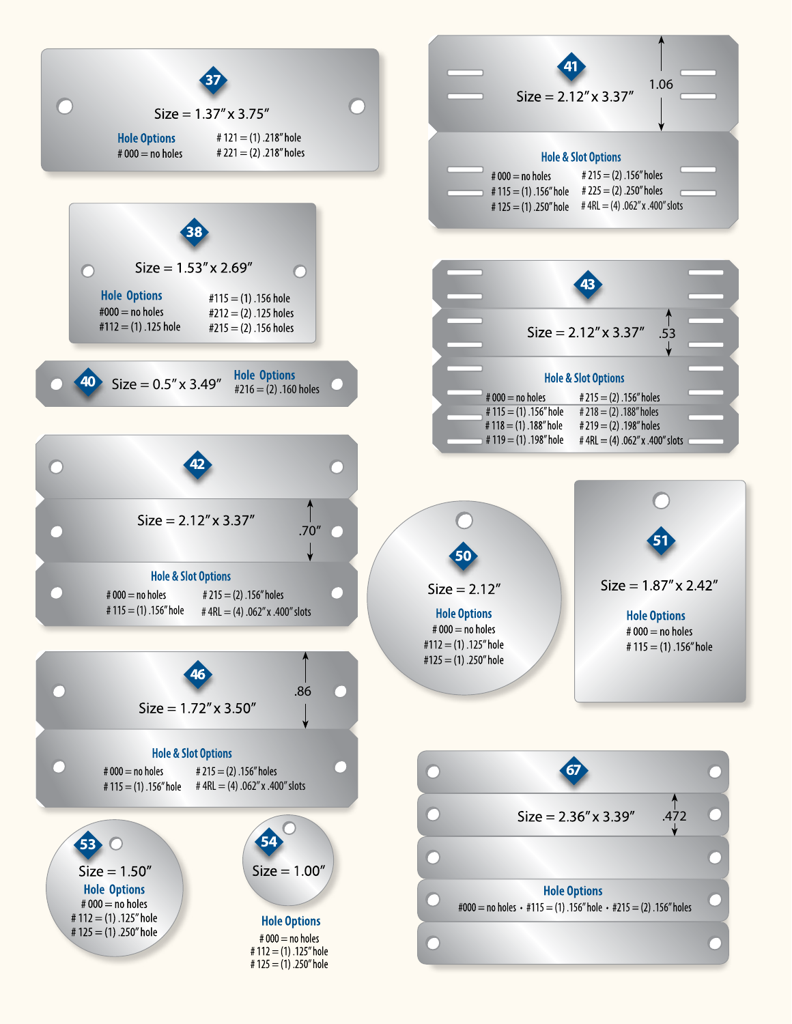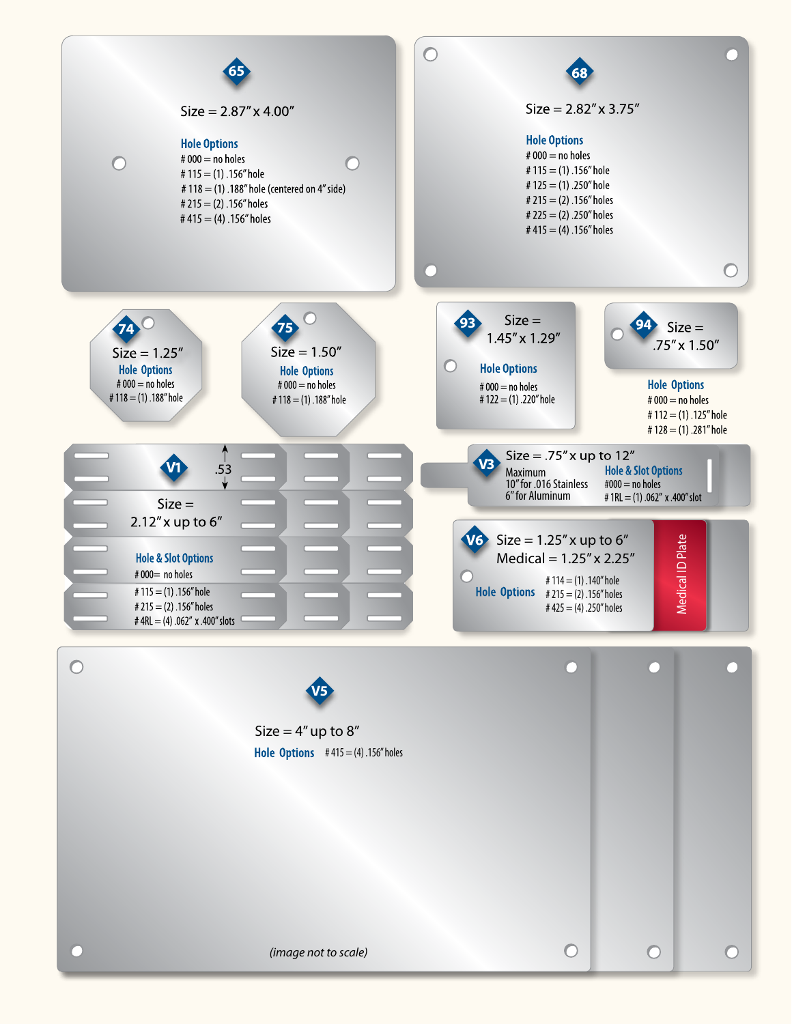